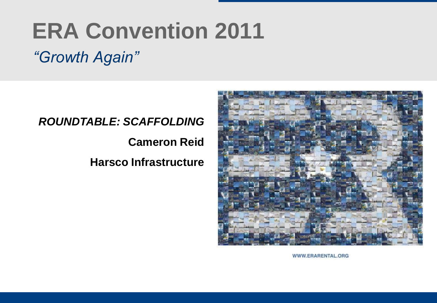# **ERA Convention 2011**

# *"Growth Again"*

#### *ROUNDTABLE: SCAFFOLDING*

**Cameron Reid** 

**Harsco Infrastructure**



WWW.ERARENTAL.ORG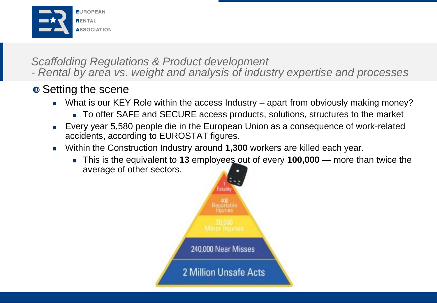

#### *Scaffolding Regulations & Product development*

*- Rental by area vs. weight and analysis of industry expertise and processes*

### $\bullet$  Setting the scene

- What is our KEY Role within the access Industry apart from obviously making money?
	- To offer SAFE and SECURE access products, solutions, structures to the market
- Every year 5,580 people die in the European Union as a consequence of work-related accidents, according to EUROSTAT figures.
- Within the Construction Industry around **1,300** workers are killed each year.
	- This is the equivalent to **13** employees out of every **100,000** more than twice the average of other sectors.

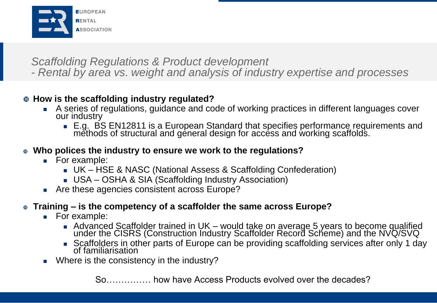

#### *Scaffolding Regulations & Product development*

*- Rental by area vs. weight and analysis of industry expertise and processes*

#### **How is the scaffolding industry regulated?**

- A series of regulations, guidance and code of working practices in different languages cover our industry
	- E.g. BS EN12811 is a European Standard that specifies performance requirements and methods of structural and general design for access and working scaffolds.

#### **Who polices the industry to ensure we work to the regulations?**

- **For example:** 
	- UK HSE & NASC (National Assess & Scaffolding Confederation)
	- USA OSHA & SIA (Scaffolding Industry Association)
- **Are these agencies consistent across Europe?**

#### **Training – is the competency of a scaffolder the same across Europe?**

- **For example:** 
	- Advanced Scaffolder trained in UK would take on average 5 years to become qualified under the CISRS (Construction Industry Scaffolder Record Scheme) and the NVQ/SVQ
	- Scaffolders in other parts of Europe can be providing scaffolding services after only 1 day of familiarisation
- Where is the consistency in the industry?

So…………… how have Access Products evolved over the decades?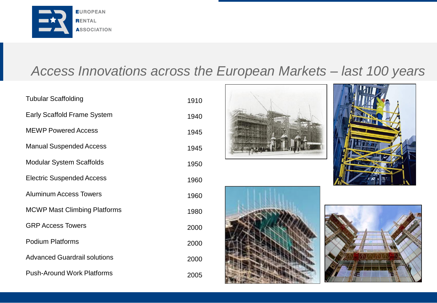

# *Access Innovations across the European Markets – last 100 years*

| <b>Tubular Scaffolding</b>          | 1910 |
|-------------------------------------|------|
| <b>Early Scaffold Frame System</b>  | 1940 |
| <b>MEWP Powered Access</b>          | 1945 |
| <b>Manual Suspended Access</b>      | 1945 |
| <b>Modular System Scaffolds</b>     | 1950 |
| <b>Electric Suspended Access</b>    | 1960 |
| <b>Aluminum Access Towers</b>       | 1960 |
| <b>MCWP Mast Climbing Platforms</b> | 1980 |
| <b>GRP Access Towers</b>            | 2000 |
| <b>Podium Platforms</b>             | 2000 |
| <b>Advanced Guardrail solutions</b> | 2000 |
| <b>Push-Around Work Platforms</b>   | 2005 |







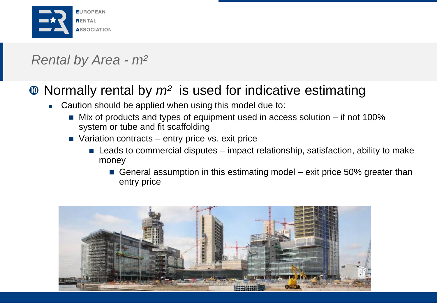

# *Rental by Area - m²*

# Normally rental by *m²* is used for indicative estimating

- **EXEC** Caution should be applied when using this model due to:
	- Mix of products and types of equipment used in access solution if not 100% system or tube and fit scaffolding
	- Variation contracts entry price vs. exit price
		- $\blacksquare$  Leads to commercial disputes impact relationship, satisfaction, ability to make money
			- General assumption in this estimating model exit price 50% greater than entry price

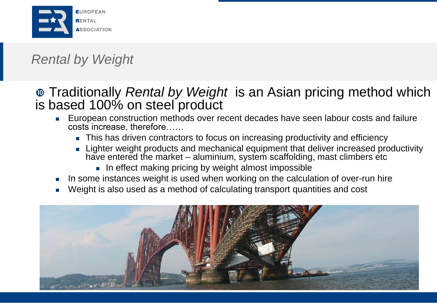

# *Rental by Weight*

### Traditionally *Rental by Weight* is an Asian pricing method which is based 100% on steel product

- European construction methods over recent decades have seen labour costs and failure costs increase, therefore……
	- **This has driven contractors to focus on increasing productivity and efficiency**
	- **Example Fighter weight products and mechanical equipment that deliver increased productivity** have entered the market – aluminium, system scaffolding, mast climbers etc
		- In effect making pricing by weight almost impossible
- In some instances weight is used when working on the calculation of over-run hire
- Weight is also used as a method of calculating transport quantities and cost